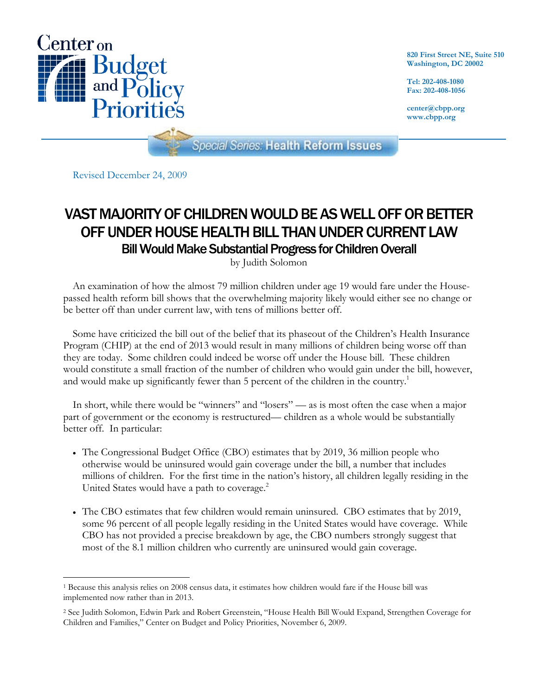

**820 First Street NE, Suite 510 Washington, DC 20002** 

**Tel: 202-408-1080 Fax: 202-408-1056** 

**center@cbpp.org www.cbpp.org** 

**Special Series: Health Reform Issues** 

Revised December 24, 2009

# VAST MAJORITY OF CHILDREN WOULD BE AS WELL OFF OR BETTER OFF UNDER HOUSE HEALTH BILL THAN UNDER CURRENT LAW Bill Would Make Substantial Progress for Children Overall

by Judith Solomon

 An examination of how the almost 79 million children under age 19 would fare under the Housepassed health reform bill shows that the overwhelming majority likely would either see no change or be better off than under current law, with tens of millions better off.

 Some have criticized the bill out of the belief that its phaseout of the Children's Health Insurance Program (CHIP) at the end of 2013 would result in many millions of children being worse off than they are today. Some children could indeed be worse off under the House bill. These children would constitute a small fraction of the number of children who would gain under the bill, however, and would make up significantly fewer than 5 percent of the children in the country.<sup>1</sup>

 In short, while there would be "winners" and "losers" — as is most often the case when a major part of government or the economy is restructured— children as a whole would be substantially better off. In particular:

- The Congressional Budget Office (CBO) estimates that by 2019, 36 million people who otherwise would be uninsured would gain coverage under the bill, a number that includes millions of children. For the first time in the nation's history, all children legally residing in the United States would have a path to coverage.<sup>2</sup>
- The CBO estimates that few children would remain uninsured. CBO estimates that by 2019, some 96 percent of all people legally residing in the United States would have coverage. While CBO has not provided a precise breakdown by age, the CBO numbers strongly suggest that most of the 8.1 million children who currently are uninsured would gain coverage.

 $\overline{a}$ 1 Because this analysis relies on 2008 census data, it estimates how children would fare if the House bill was implemented now rather than in 2013.

<sup>2</sup> See Judith Solomon, Edwin Park and Robert Greenstein, "House Health Bill Would Expand, Strengthen Coverage for Children and Families," Center on Budget and Policy Priorities, November 6, 2009.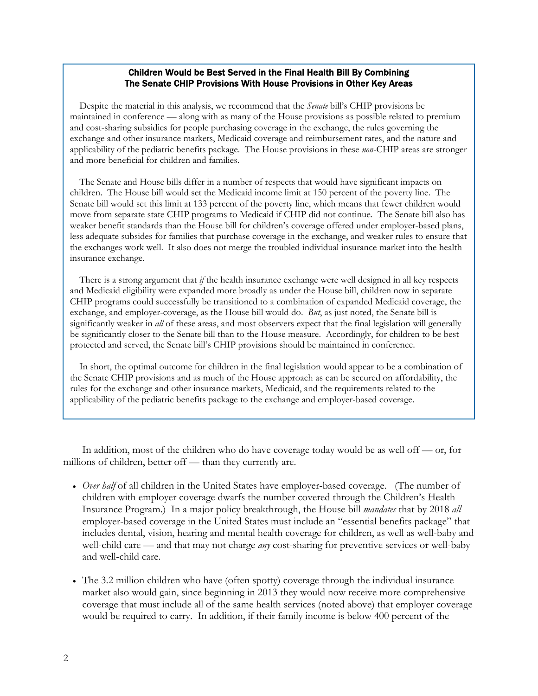#### Children Would be Best Served in the Final Health Bill By Combining The Senate CHIP Provisions With House Provisions in Other Key Areas

 Despite the material in this analysis, we recommend that the *Senate* bill's CHIP provisions be maintained in conference — along with as many of the House provisions as possible related to premium and cost-sharing subsidies for people purchasing coverage in the exchange, the rules governing the exchange and other insurance markets, Medicaid coverage and reimbursement rates, and the nature and applicability of the pediatric benefits package. The House provisions in these *non*-CHIP areas are stronger and more beneficial for children and families.

 The Senate and House bills differ in a number of respects that would have significant impacts on children. The House bill would set the Medicaid income limit at 150 percent of the poverty line. The Senate bill would set this limit at 133 percent of the poverty line, which means that fewer children would move from separate state CHIP programs to Medicaid if CHIP did not continue. The Senate bill also has weaker benefit standards than the House bill for children's coverage offered under employer-based plans, less adequate subsides for families that purchase coverage in the exchange, and weaker rules to ensure that the exchanges work well. It also does not merge the troubled individual insurance market into the health insurance exchange.

 There is a strong argument that *if* the health insurance exchange were well designed in all key respects and Medicaid eligibility were expanded more broadly as under the House bill, children now in separate CHIP programs could successfully be transitioned to a combination of expanded Medicaid coverage, the exchange, and employer-coverage, as the House bill would do. *But*, as just noted, the Senate bill is significantly weaker in *all* of these areas, and most observers expect that the final legislation will generally be significantly closer to the Senate bill than to the House measure. Accordingly, for children to be best protected and served, the Senate bill's CHIP provisions should be maintained in conference.

 In short, the optimal outcome for children in the final legislation would appear to be a combination of the Senate CHIP provisions and as much of the House approach as can be secured on affordability, the rules for the exchange and other insurance markets, Medicaid, and the requirements related to the applicability of the pediatric benefits package to the exchange and employer-based coverage.

 In addition, most of the children who do have coverage today would be as well off — or, for millions of children, better off — than they currently are.

- *Over half* of all children in the United States have employer-based coverage. (The number of children with employer coverage dwarfs the number covered through the Children's Health Insurance Program.) In a major policy breakthrough, the House bill *mandates* that by 2018 *all* employer-based coverage in the United States must include an "essential benefits package" that includes dental, vision, hearing and mental health coverage for children, as well as well-baby and well-child care — and that may not charge *any* cost-sharing for preventive services or well-baby and well-child care.
- The 3.2 million children who have (often spotty) coverage through the individual insurance market also would gain, since beginning in 2013 they would now receive more comprehensive coverage that must include all of the same health services (noted above) that employer coverage would be required to carry. In addition, if their family income is below 400 percent of the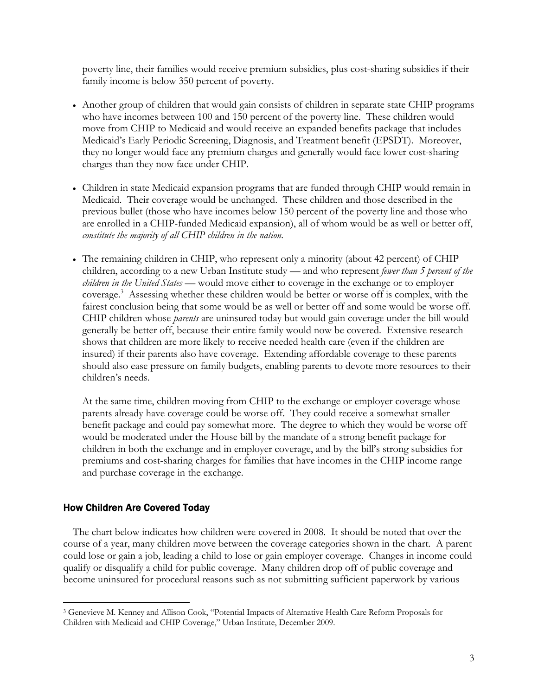poverty line, their families would receive premium subsidies, plus cost-sharing subsidies if their family income is below 350 percent of poverty.

- Another group of children that would gain consists of children in separate state CHIP programs who have incomes between 100 and 150 percent of the poverty line. These children would move from CHIP to Medicaid and would receive an expanded benefits package that includes Medicaid's Early Periodic Screening, Diagnosis, and Treatment benefit (EPSDT). Moreover, they no longer would face any premium charges and generally would face lower cost-sharing charges than they now face under CHIP.
- Children in state Medicaid expansion programs that are funded through CHIP would remain in Medicaid. Their coverage would be unchanged. These children and those described in the previous bullet (those who have incomes below 150 percent of the poverty line and those who are enrolled in a CHIP-funded Medicaid expansion), all of whom would be as well or better off, *constitute the majority of all CHIP children in the nation.*
- The remaining children in CHIP, who represent only a minority (about 42 percent) of CHIP children, according to a new Urban Institute study — and who represent *fewer than 5 percent of the children in the United States* — would move either to coverage in the exchange or to employer coverage.<sup>3</sup> Assessing whether these children would be better or worse off is complex, with the fairest conclusion being that some would be as well or better off and some would be worse off. CHIP children whose *parents* are uninsured today but would gain coverage under the bill would generally be better off, because their entire family would now be covered. Extensive research shows that children are more likely to receive needed health care (even if the children are insured) if their parents also have coverage. Extending affordable coverage to these parents should also ease pressure on family budgets, enabling parents to devote more resources to their children's needs.

At the same time, children moving from CHIP to the exchange or employer coverage whose parents already have coverage could be worse off. They could receive a somewhat smaller benefit package and could pay somewhat more. The degree to which they would be worse off would be moderated under the House bill by the mandate of a strong benefit package for children in both the exchange and in employer coverage, and by the bill's strong subsidies for premiums and cost-sharing charges for families that have incomes in the CHIP income range and purchase coverage in the exchange.

## How Children Are Covered Today

-

 The chart below indicates how children were covered in 2008. It should be noted that over the course of a year, many children move between the coverage categories shown in the chart. A parent could lose or gain a job, leading a child to lose or gain employer coverage. Changes in income could qualify or disqualify a child for public coverage. Many children drop off of public coverage and become uninsured for procedural reasons such as not submitting sufficient paperwork by various

<sup>3</sup> Genevieve M. Kenney and Allison Cook, "Potential Impacts of Alternative Health Care Reform Proposals for Children with Medicaid and CHIP Coverage," Urban Institute, December 2009.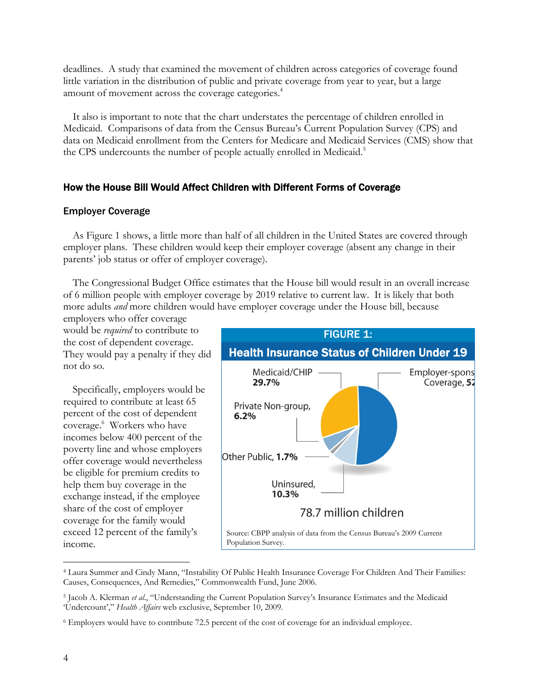deadlines. A study that examined the movement of children across categories of coverage found little variation in the distribution of public and private coverage from year to year, but a large amount of movement across the coverage categories.<sup>4</sup>

 It also is important to note that the chart understates the percentage of children enrolled in Medicaid. Comparisons of data from the Census Bureau's Current Population Survey (CPS) and data on Medicaid enrollment from the Centers for Medicare and Medicaid Services (CMS) show that the CPS undercounts the number of people actually enrolled in Medicaid.<sup>5</sup>

## How the House Bill Would Affect Children with Different Forms of Coverage

#### Employer Coverage

 As Figure 1 shows, a little more than half of all children in the United States are covered through employer plans. These children would keep their employer coverage (absent any change in their parents' job status or offer of employer coverage).

 The Congressional Budget Office estimates that the House bill would result in an overall increase of 6 million people with employer coverage by 2019 relative to current law. It is likely that both more adults *and* more children would have employer coverage under the House bill, because

employers who offer coverage would be *required* to contribute to the cost of dependent coverage. They would pay a penalty if they did not do so.

 Specifically, employers would be required to contribute at least 65 percent of the cost of dependent coverage.6 Workers who have incomes below 400 percent of the poverty line and whose employers offer coverage would nevertheless be eligible for premium credits to help them buy coverage in the exchange instead, if the employee share of the cost of employer coverage for the family would exceed 12 percent of the family's income.



<sup>4</sup> Laura Summer and Cindy Mann, "Instability Of Public Health Insurance Coverage For Children And Their Families: Causes, Consequences, And Remedies," Commonwealth Fund, June 2006.

 $\overline{a}$ 

<sup>5</sup> Jacob A. Klerman *et al*., "Understanding the Current Population Survey's Insurance Estimates and the Medicaid 'Undercount'," *Health Affairs* web exclusive, September 10, 2009.

<sup>6</sup> Employers would have to contribute 72.5 percent of the cost of coverage for an individual employee.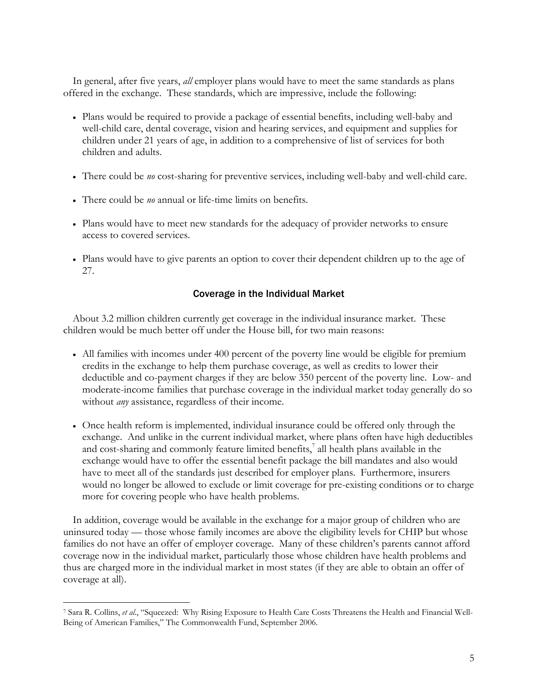In general, after five years, *all* employer plans would have to meet the same standards as plans offered in the exchange. These standards, which are impressive, include the following:

- Plans would be required to provide a package of essential benefits, including well-baby and well-child care, dental coverage, vision and hearing services, and equipment and supplies for children under 21 years of age, in addition to a comprehensive of list of services for both children and adults.
- There could be *no* cost-sharing for preventive services, including well-baby and well-child care.
- There could be *no* annual or life-time limits on benefits.

 $\overline{a}$ 

- Plans would have to meet new standards for the adequacy of provider networks to ensure access to covered services.
- Plans would have to give parents an option to cover their dependent children up to the age of 27.

### Coverage in the Individual Market

 About 3.2 million children currently get coverage in the individual insurance market. These children would be much better off under the House bill, for two main reasons:

- All families with incomes under 400 percent of the poverty line would be eligible for premium credits in the exchange to help them purchase coverage, as well as credits to lower their deductible and co-payment charges if they are below 350 percent of the poverty line. Low- and moderate-income families that purchase coverage in the individual market today generally do so without *any* assistance, regardless of their income.
- Once health reform is implemented, individual insurance could be offered only through the exchange. And unlike in the current individual market, where plans often have high deductibles and cost-sharing and commonly feature limited benefits,<sup>7</sup> all health plans available in the exchange would have to offer the essential benefit package the bill mandates and also would have to meet all of the standards just described for employer plans. Furthermore, insurers would no longer be allowed to exclude or limit coverage for pre-existing conditions or to charge more for covering people who have health problems.

 In addition, coverage would be available in the exchange for a major group of children who are uninsured today — those whose family incomes are above the eligibility levels for CHIP but whose families do not have an offer of employer coverage. Many of these children's parents cannot afford coverage now in the individual market, particularly those whose children have health problems and thus are charged more in the individual market in most states (if they are able to obtain an offer of coverage at all).

<sup>7</sup> Sara R. Collins, *et al*., "Squeezed: Why Rising Exposure to Health Care Costs Threatens the Health and Financial Well-Being of American Families," The Commonwealth Fund, September 2006.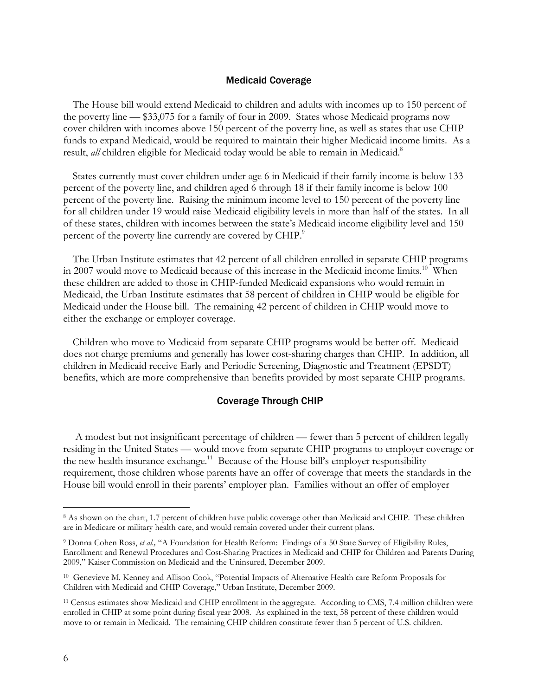#### Medicaid Coverage

The House bill would extend Medicaid to children and adults with incomes up to 150 percent of the poverty line — \$33,075 for a family of four in 2009. States whose Medicaid programs now cover children with incomes above 150 percent of the poverty line, as well as states that use CHIP funds to expand Medicaid, would be required to maintain their higher Medicaid income limits. As a result, *all* children eligible for Medicaid today would be able to remain in Medicaid.<sup>8</sup>

 States currently must cover children under age 6 in Medicaid if their family income is below 133 percent of the poverty line, and children aged 6 through 18 if their family income is below 100 percent of the poverty line. Raising the minimum income level to 150 percent of the poverty line for all children under 19 would raise Medicaid eligibility levels in more than half of the states. In all of these states, children with incomes between the state's Medicaid income eligibility level and 150 percent of the poverty line currently are covered by CHIP.<sup>9</sup>

 The Urban Institute estimates that 42 percent of all children enrolled in separate CHIP programs in 2007 would move to Medicaid because of this increase in the Medicaid income limits.<sup>10</sup> When these children are added to those in CHIP-funded Medicaid expansions who would remain in Medicaid, the Urban Institute estimates that 58 percent of children in CHIP would be eligible for Medicaid under the House bill. The remaining 42 percent of children in CHIP would move to either the exchange or employer coverage.

 Children who move to Medicaid from separate CHIP programs would be better off. Medicaid does not charge premiums and generally has lower cost-sharing charges than CHIP. In addition, all children in Medicaid receive Early and Periodic Screening, Diagnostic and Treatment (EPSDT) benefits, which are more comprehensive than benefits provided by most separate CHIP programs.

#### Coverage Through CHIP

 A modest but not insignificant percentage of children — fewer than 5 percent of children legally residing in the United States — would move from separate CHIP programs to employer coverage or the new health insurance exchange.<sup>11</sup> Because of the House bill's employer responsibility requirement, those children whose parents have an offer of coverage that meets the standards in the House bill would enroll in their parents' employer plan. Families without an offer of employer

 $\overline{a}$ 

<sup>8</sup> As shown on the chart, 1.7 percent of children have public coverage other than Medicaid and CHIP. These children are in Medicare or military health care, and would remain covered under their current plans.

<sup>9</sup> Donna Cohen Ross, *et al.,* "A Foundation for Health Reform: Findings of a 50 State Survey of Eligibility Rules, Enrollment and Renewal Procedures and Cost-Sharing Practices in Medicaid and CHIP for Children and Parents During 2009," Kaiser Commission on Medicaid and the Uninsured, December 2009.

<sup>10</sup> Genevieve M. Kenney and Allison Cook, "Potential Impacts of Alternative Health care Reform Proposals for Children with Medicaid and CHIP Coverage," Urban Institute, December 2009.

<sup>11</sup> Census estimates show Medicaid and CHIP enrollment in the aggregate. According to CMS, 7.4 million children were enrolled in CHIP at some point during fiscal year 2008. As explained in the text, 58 percent of these children would move to or remain in Medicaid. The remaining CHIP children constitute fewer than 5 percent of U.S. children.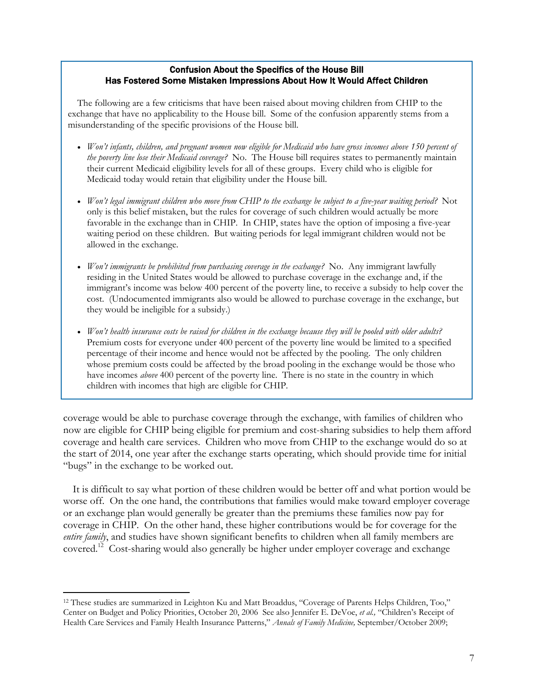#### Confusion About the Specifics of the House Bill Has Fostered Some Mistaken Impressions About How It Would Affect Children

 The following are a few criticisms that have been raised about moving children from CHIP to the exchange that have no applicability to the House bill. Some of the confusion apparently stems from a misunderstanding of the specific provisions of the House bill.

- *Won't infants, children, and pregnant women now eligible for Medicaid who have gross incomes above 150 percent of the poverty line lose their Medicaid coverage?* No. The House bill requires states to permanently maintain their current Medicaid eligibility levels for all of these groups. Every child who is eligible for Medicaid today would retain that eligibility under the House bill.
- *Won't legal immigrant children who move from CHIP to the exchange be subject to a five-year waiting period?* Not only is this belief mistaken, but the rules for coverage of such children would actually be more favorable in the exchange than in CHIP. In CHIP, states have the option of imposing a five-year waiting period on these children. But waiting periods for legal immigrant children would not be allowed in the exchange.
- *Won't immigrants be prohibited from purchasing coverage in the exchange?* No. Any immigrant lawfully residing in the United States would be allowed to purchase coverage in the exchange and, if the immigrant's income was below 400 percent of the poverty line, to receive a subsidy to help cover the cost. (Undocumented immigrants also would be allowed to purchase coverage in the exchange, but they would be ineligible for a subsidy.)
- *Won't health insurance costs be raised for children in the exchange because they will be pooled with older adults?* Premium costs for everyone under 400 percent of the poverty line would be limited to a specified percentage of their income and hence would not be affected by the pooling. The only children whose premium costs could be affected by the broad pooling in the exchange would be those who have incomes *above* 400 percent of the poverty line. There is no state in the country in which children with incomes that high are eligible for CHIP.

coverage would be able to purchase coverage through the exchange, with families of children who now are eligible for CHIP being eligible for premium and cost-sharing subsidies to help them afford coverage and health care services. Children who move from CHIP to the exchange would do so at the start of 2014, one year after the exchange starts operating, which should provide time for initial "bugs" in the exchange to be worked out.

 It is difficult to say what portion of these children would be better off and what portion would be worse off. On the one hand, the contributions that families would make toward employer coverage or an exchange plan would generally be greater than the premiums these families now pay for coverage in CHIP. On the other hand, these higher contributions would be for coverage for the *entire family*, and studies have shown significant benefits to children when all family members are covered.12 Cost-sharing would also generally be higher under employer coverage and exchange

 $\overline{a}$ 

<sup>12</sup> These studies are summarized in Leighton Ku and Matt Broaddus, "Coverage of Parents Helps Children, Too," Center on Budget and Policy Priorities, October 20, 2006 See also Jennifer E. DeVoe, *et al.,* "Children's Receipt of Health Care Services and Family Health Insurance Patterns," *Annals of Family Medicine,* September/October 2009;